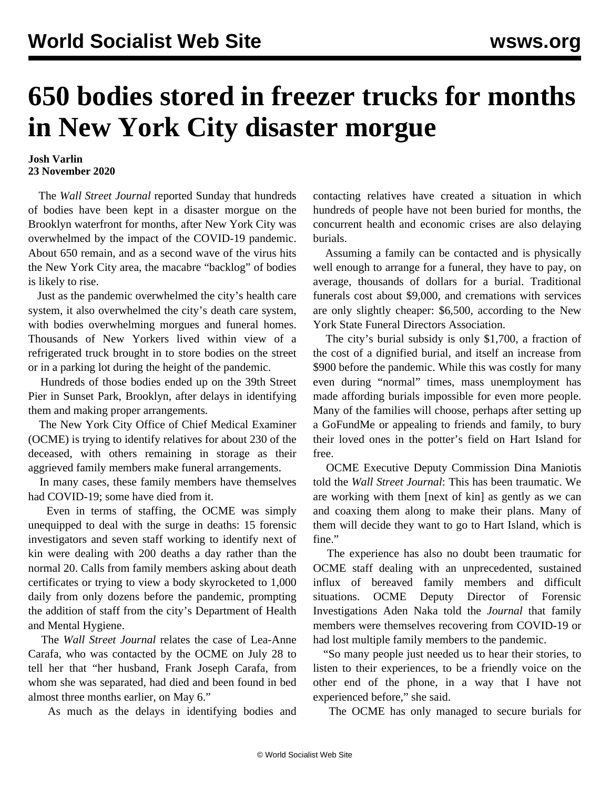## **650 bodies stored in freezer trucks for months in New York City disaster morgue**

## **Josh Varlin 23 November 2020**

 The *Wall Street Journal* reported Sunday that hundreds of bodies have been kept in a disaster morgue on the Brooklyn waterfront for months, after New York City was overwhelmed by the impact of the COVID-19 pandemic. About 650 remain, and as a second wave of the virus hits the New York City area, the macabre "backlog" of bodies is likely to rise.

 Just as the pandemic overwhelmed the city's health care system, it also overwhelmed the city's death care system, with bodies overwhelming morgues and funeral homes. Thousands of New Yorkers lived within view of a refrigerated truck brought in to store bodies on the street or in a parking lot during the height of the pandemic.

 Hundreds of those bodies ended up on the 39th Street Pier in Sunset Park, Brooklyn, after delays in identifying them and making proper arrangements.

 The New York City Office of Chief Medical Examiner (OCME) is trying to identify relatives for about 230 of the deceased, with others remaining in storage as their aggrieved family members make funeral arrangements.

 In many cases, these family members have themselves had COVID-19; some have died from it.

 Even in terms of staffing, the OCME was simply unequipped to deal with the surge in deaths: 15 forensic investigators and seven staff working to identify next of kin were dealing with 200 deaths a day rather than the normal 20. Calls from family members asking about death certificates or trying to view a body skyrocketed to 1,000 daily from only dozens before the pandemic, prompting the addition of staff from the city's Department of Health and Mental Hygiene.

 The *Wall Street Journal* relates the case of Lea-Anne Carafa, who was contacted by the OCME on July 28 to tell her that "her husband, Frank Joseph Carafa, from whom she was separated, had died and been found in bed almost three months earlier, on May 6."

As much as the delays in identifying bodies and

contacting relatives have created a situation in which hundreds of people have not been buried for months, the concurrent health and economic crises are also delaying burials.

 Assuming a family can be contacted and is physically well enough to arrange for a funeral, they have to pay, on average, thousands of dollars for a burial. Traditional funerals cost about \$9,000, and cremations with services are only slightly cheaper: \$6,500, according to the New York State Funeral Directors Association.

 The city's burial subsidy is only \$1,700, a fraction of the cost of a dignified burial, and itself an increase from \$900 before the pandemic. While this was costly for many even during "normal" times, mass unemployment has made affording burials impossible for even more people. Many of the families will choose, perhaps after setting up a GoFundMe or appealing to friends and family, to bury their loved ones in the potter's field on Hart Island for free.

 OCME Executive Deputy Commission Dina Maniotis told the *Wall Street Journal*: This has been traumatic. We are working with them [next of kin] as gently as we can and coaxing them along to make their plans. Many of them will decide they want to go to Hart Island, which is fine."

 The experience has also no doubt been traumatic for OCME staff dealing with an unprecedented, sustained influx of bereaved family members and difficult situations. OCME Deputy Director of Forensic Investigations Aden Naka told the *Journal* that family members were themselves recovering from COVID-19 or had lost multiple family members to the pandemic.

 "So many people just needed us to hear their stories, to listen to their experiences, to be a friendly voice on the other end of the phone, in a way that I have not experienced before," she said.

The OCME has only managed to secure burials for